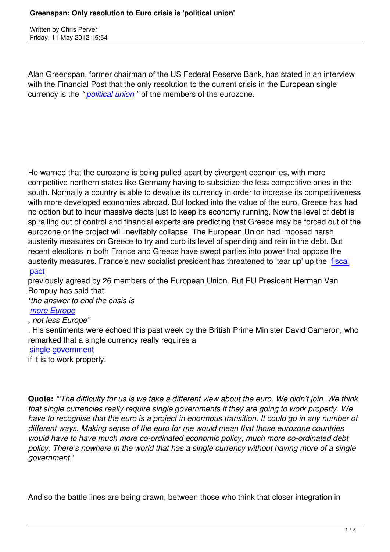Written by Christian by Christian by Christian by Christian by Christian by Christian by Chris Perus

Alan Greenspan, former chairman of the US Federal Reserve Bank, has stated in an interview with the Financial Post that the only resolution to the current crisis in the European single currency is the *" political union "* of the members of the eurozone.

He warned that the eurozone is being pulled apart by divergent economies, with more competitive northern states like Germany having to subsidize the less competitive ones in the south. Normally a country is able to devalue its currency in order to increase its competitiveness with more developed economies abroad. But locked into the value of the euro, Greece has had no option but to incur massive debts just to keep its economy running. Now the level of debt is spiralling out of control and financial experts are predicting that Greece may be forced out of the eurozone or the project will inevitably collapse. The European Union had imposed harsh austerity measures on Greece to try and curb its level of spending and rein in the debt. But recent elections in both France and Greece have swept parties into power that oppose the austerity measures. France's new socialist president has threatened to 'tear up' up the fiscal pact

previously agreed by 26 members of the European Union. But EU President Herman Van Rompuy has said that

*["the a](europe/2687-merkel-to-push-for-european-political-union)nswer to end the crisis is* 

## *more Europe*

*, not less Europe"*

. His sentiments were echoed this past week by the British Prime Minister David Cameron, who [remarked that](http://online.wsj.com/article/BT-CO-20120511-709025.html) a single currency really requires a

## single government

if it is to work properly.

**Quote:** *"'The difficulty for us is we take a different view about the euro. We didn't join. We think that single currencies really require single governments if they are going to work properly. We have to recognise that the euro is a project in enormous transition. It could go in any number of different ways. Making sense of the euro for me would mean that those eurozone countries would have to have much more co-ordinated economic policy, much more co-ordinated debt policy. There's nowhere in the world that has a single currency without having more of a single government.'*

And so the battle lines are being drawn, between those who think that closer integration in